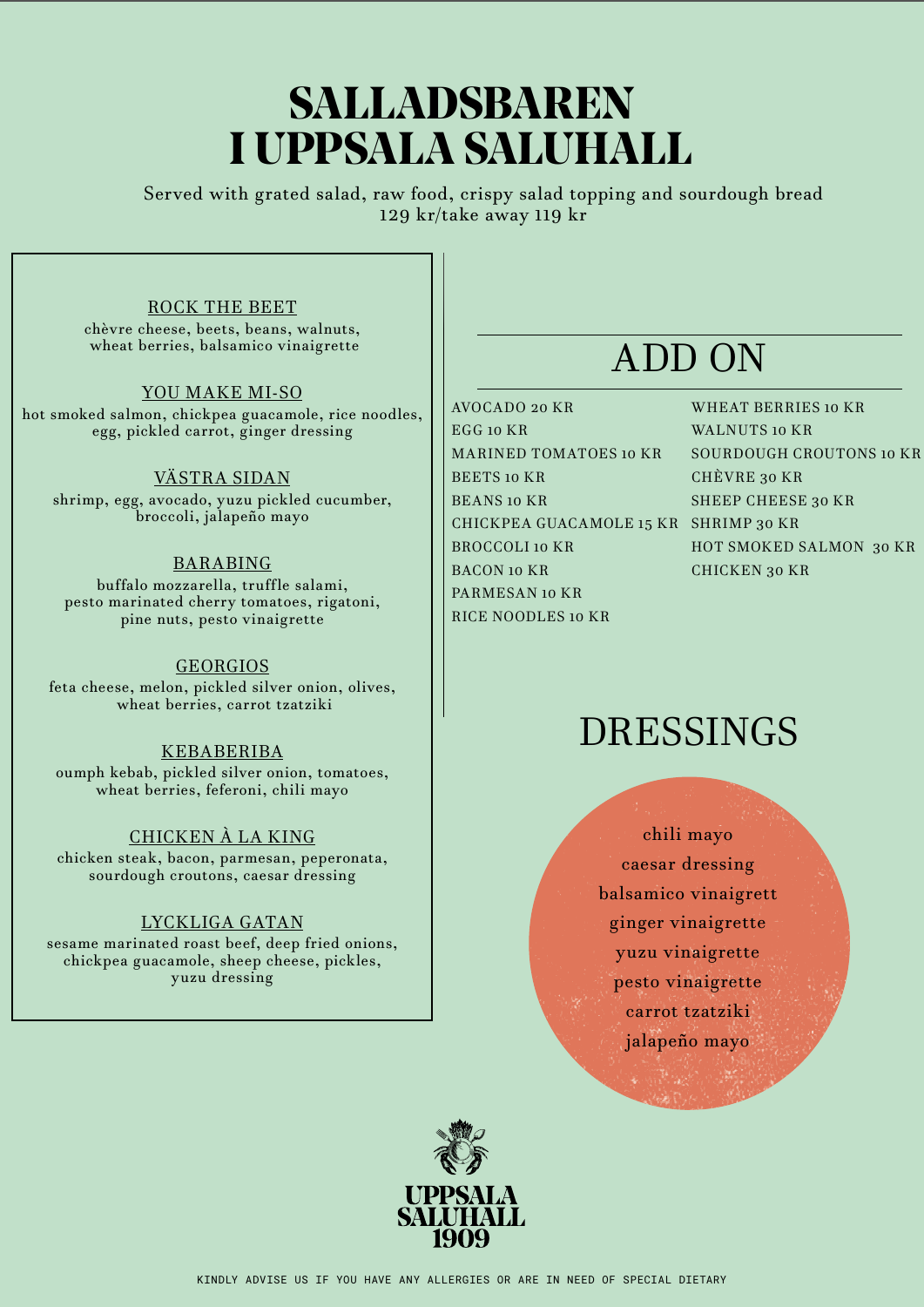# **SALLADSBAREN I UPPSALA SALUHALL**

Served with grated salad, raw food, crispy salad topping and sourdough bread 129 kr/take away 119 kr

### ROCK THE BEET

chèvre cheese, beets, beans, walnuts, wheat berries, balsamico vinaigrette

#### YOU MAKE MI-SO

hot smoked salmon, chickpea guacamole, rice noodles, egg, pickled carrot, ginger dressing

### VÄSTRA SIDAN

shrimp, egg, avocado, yuzu pickled cucumber, broccoli, jalapeño mayo

### BARABING

buffalo mozzarella, truffle salami, pesto marinated cherry tomatoes, rigatoni, pine nuts, pesto vinaigrette

#### GEORGIOS

feta cheese, melon, pickled silver onion, olives, wheat berries, carrot tzatziki

#### KEBABERIBA

oumph kebab, pickled silver onion, tomatoes, wheat berries, feferoni, chili mayo

### CHICKEN À LA KING

chicken steak, bacon, parmesan, peperonata, sourdough croutons, caesar dressing

### LYCKLIGA GATAN

sesame marinated roast beef, deep fried onions, chickpea guacamole, sheep cheese, pickles, yuzu dressing

# ADD ON

AVOCADO 20 KR EGG 10 KR MARINED TOMATOES 10 KR BEETS 10 KR BEANS 10 KR CHICKPEA GUACAMOLE 15 KR SHRIMP 30 KR BROCCOLI 10 KR BACON 10 KR PARMESAN 10 KR RICE NOODLES 10 KR

WHEAT BERRIES 10 KR WALNUTS 10 KR SOURDOUGH CROUTONS 10 KR CHÈVRE 30 KR SHEEP CHEESE 30 KR HOT SMOKED SALMON 30 KR CHICKEN 30 KR

# DRESSINGS

chili mayo caesar dressing balsamico vinaigrett ginger vinaigrette yuzu vinaigrette pesto vinaigrette carrot tzatziki jalapeño mayo